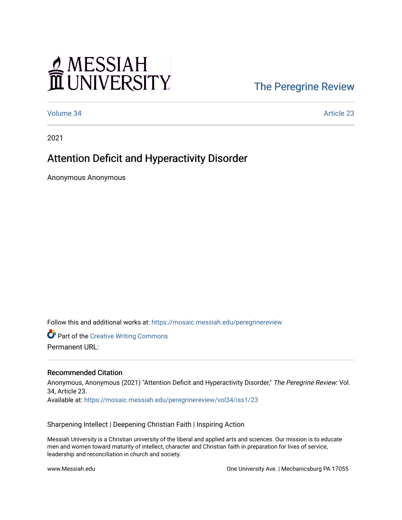# MESSIAH<br>II UNIVERSITY

### [The Peregrine Review](https://mosaic.messiah.edu/peregrinereview)

[Volume 34](https://mosaic.messiah.edu/peregrinereview/vol34) Article 23

2021

## Attention Deficit and Hyperactivity Disorder

Anonymous Anonymous

Follow this and additional works at: [https://mosaic.messiah.edu/peregrinereview](https://mosaic.messiah.edu/peregrinereview?utm_source=mosaic.messiah.edu%2Fperegrinereview%2Fvol34%2Fiss1%2F23&utm_medium=PDF&utm_campaign=PDFCoverPages) 

**Part of the Creative Writing Commons** 

Permanent URL:

#### Recommended Citation

Anonymous, Anonymous (2021) "Attention Deficit and Hyperactivity Disorder," The Peregrine Review: Vol. 34, Article 23. Available at: [https://mosaic.messiah.edu/peregrinereview/vol34/iss1/23](https://mosaic.messiah.edu/peregrinereview/vol34/iss1/23?utm_source=mosaic.messiah.edu%2Fperegrinereview%2Fvol34%2Fiss1%2F23&utm_medium=PDF&utm_campaign=PDFCoverPages)

Sharpening Intellect | Deepening Christian Faith | Inspiring Action

Messiah University is a Christian university of the liberal and applied arts and sciences. Our mission is to educate men and women toward maturity of intellect, character and Christian faith in preparation for lives of service, leadership and reconciliation in church and society.

www.Messiah.edu **One University Ave. | Mechanicsburg PA 17055**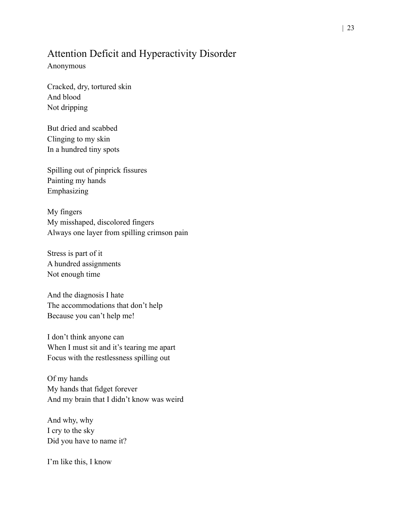#### Attention Deficit and Hyperactivity Disorder

Anonymous

Cracked, dry, tortured skin And blood Not dripping

But dried and scabbed Clinging to my skin In a hundred tiny spots

Spilling out of pinprick fissures Painting my hands Emphasizing

My fingers My misshaped, discolored fingers Always one layer from spilling crimson pain

Stress is part of it A hundred assignments Not enough time

And the diagnosis I hate The accommodations that don't help Because you can't help me!

I don't think anyone can When I must sit and it's tearing me apart Focus with the restlessness spilling out

Of my hands My hands that fidget forever And my brain that I didn't know was weird

And why, why I cry to the sky Did you have to name it?

I'm like this, I know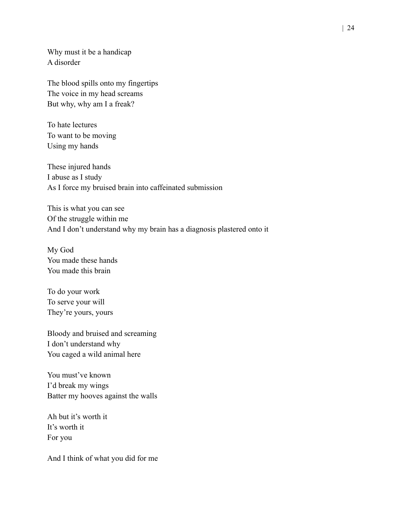Why must it be a handicap A disorder

The blood spills onto my fingertips The voice in my head screams But why, why am I a freak?

To hate lectures To want to be moving Using my hands

These injured hands I abuse as I study As I force my bruised brain into caffeinated submission

This is what you can see Of the struggle within me And I don't understand why my brain has a diagnosis plastered onto it

My God You made these hands You made this brain

To do your work To serve your will They're yours, yours

Bloody and bruised and screaming I don't understand why You caged a wild animal here

You must've known I'd break my wings Batter my hooves against the walls

Ah but it's worth it It's worth it For you

And I think of what you did for me